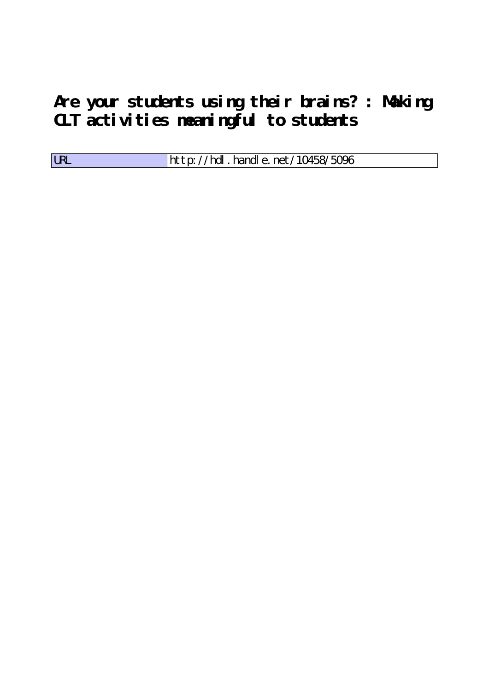**Are your students using their brains? : Making CLT activities meaningful to students**

| <b>LRL</b> | $\parallel$ http://hdl.handle.net/10458/5096 |
|------------|----------------------------------------------|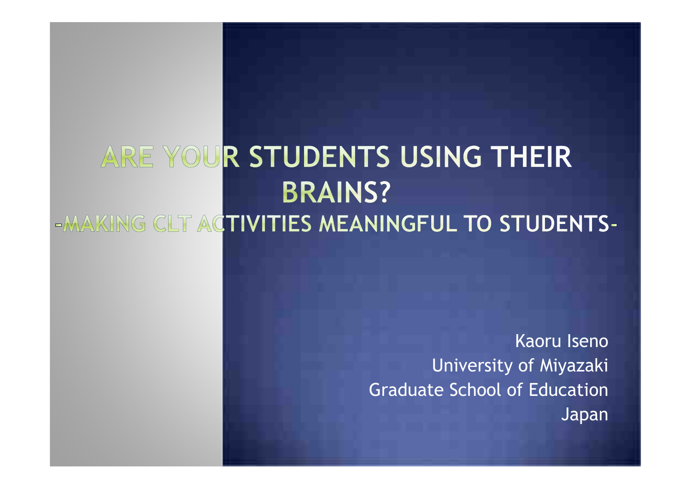### ARE YOUR STUDENTS USING THEIR **BRAINS?** -MAKING CLT ACTIVITIES MEANINGFUL TO STUDENTS-

Kaoru Iseno University of Miyazaki Graduate School of Education Japan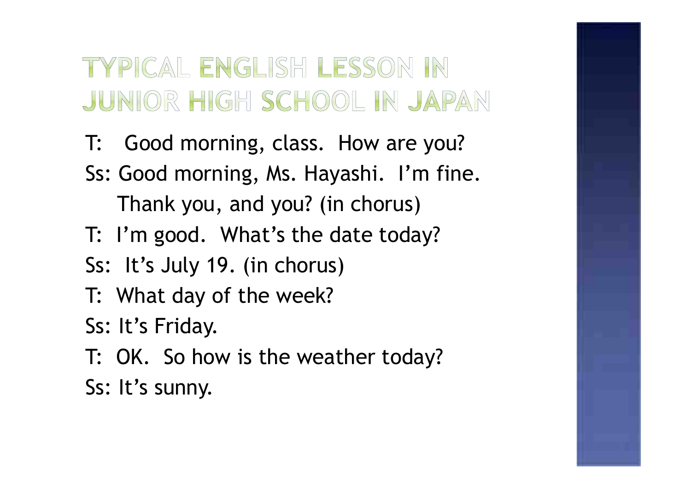### TYPICAL ENGLISH LESSON IN JUNIOR HIGH SCHOOL IN JAPAN

- T: Good morning, class. How are you? Ss: Good morning, Ms. Hayashi. I'm fine. Thank you, and you? (in chorus)
- T: I'm good. What's the date today?
- Ss: It's July 19. (in chorus)
- T: What day of the week?
- Ss: It's Friday.
- T: OK. So how is the weather today? Ss: It's sunny.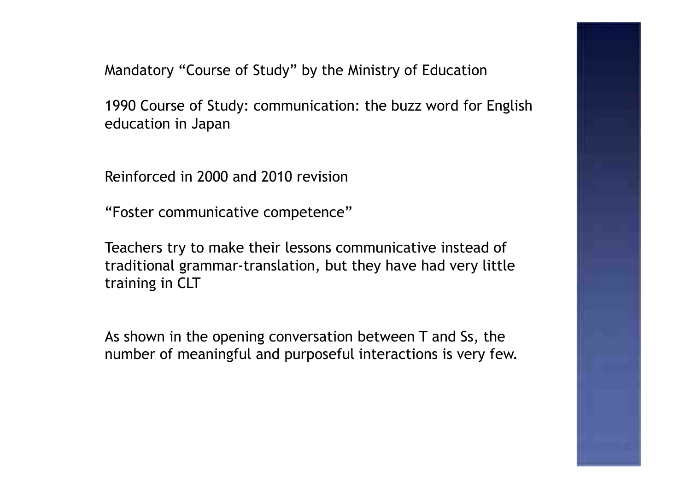Mandatory "Course of Study" by the Ministry of Education

1990 Course of Study: communication: the buzz word for English education in Japan

Reinforced in 2000 and 2010 revision

"Foster communicative competence"

Teachers try to make their lessons communicative instead of traditional grammar-translation, but they have had very little training in CLT

As shown in the opening conversation between T and Ss, the number of meaningful and purposeful interactions is very few.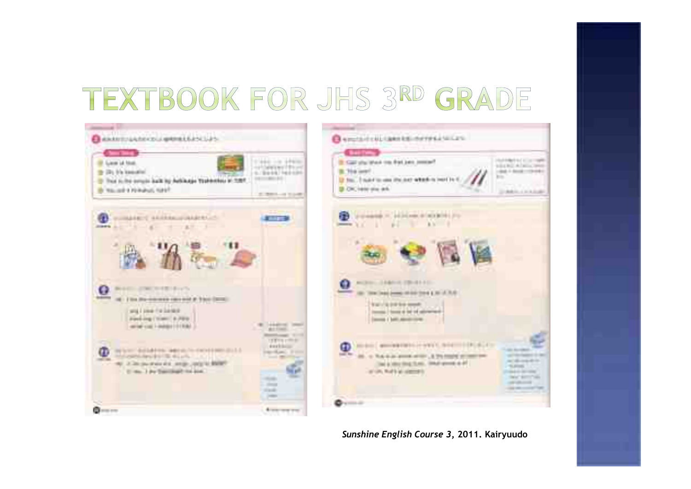# TEXTBOOK FOR JHS 3RD GRADE





*Sunshine English Course 3***, 2011. Kairyuudo**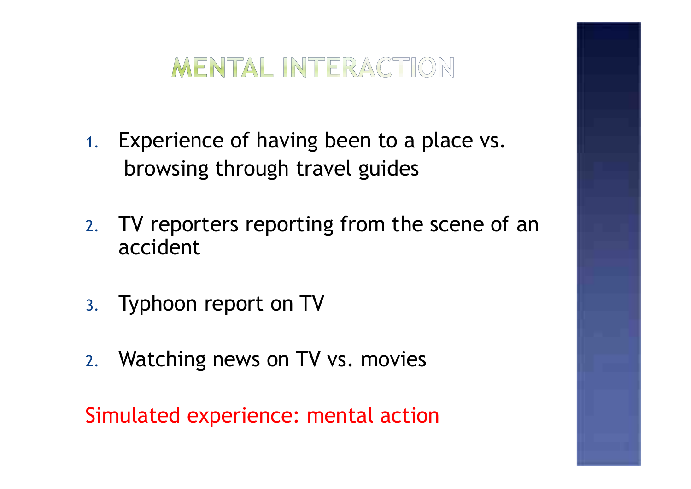

- 1. Experience of having been to a place vs. browsing through travel guides
- 2. TV reporters reporting from the scene of an accident
- 3. Typhoon report on TV
- 2. Watching news on TV vs. movies

Simulated experience: mental action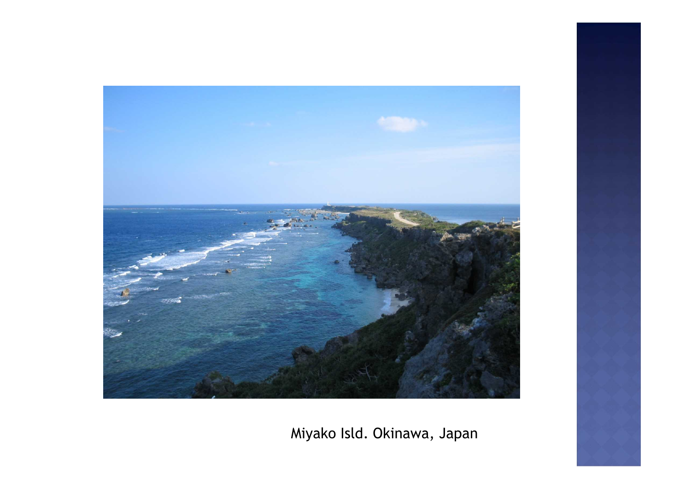

Miyako Isld. Okinawa, Japan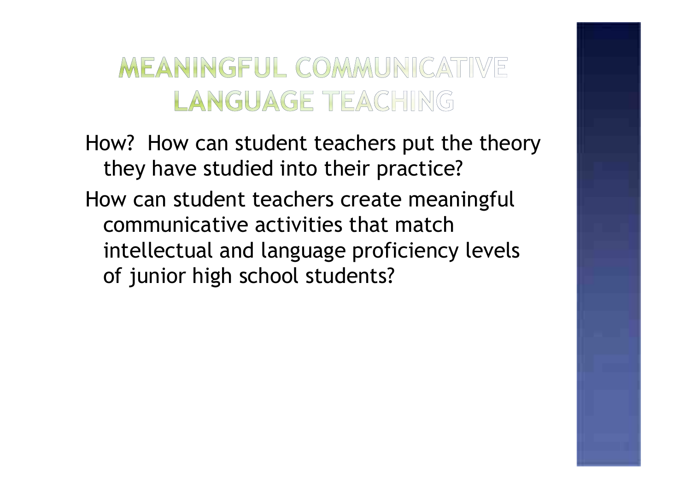#### MEANINGFUL COMMUNICATIVE LANGUAGE TEACHING

How? How can student teachers put the theory they have studied into their practice? How can student teachers create meaningful communicative activities that match intellectual and language proficiency levels of junior high school students?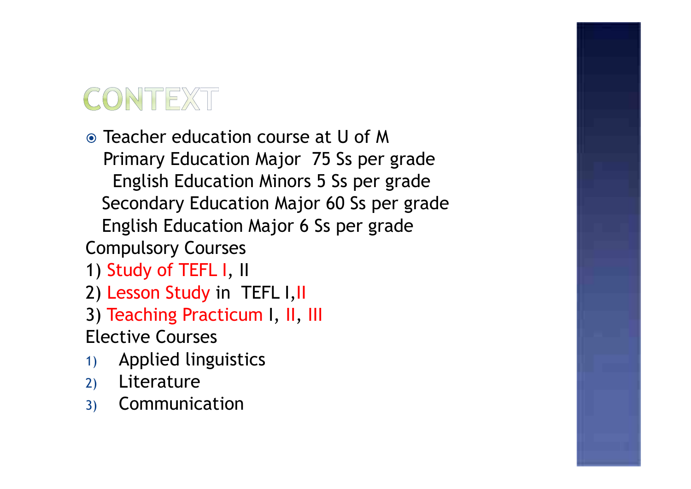# CONTEXT

Teacher education course at U of M Primary Education Major 75 Ss per grade English Education Minors 5 Ss per grade Secondary Education Major 60 Ss per grade English Education Major 6 Ss per grade Compulsory Courses

1) Study of TEFL I, II

- 2) Lesson Study in TEFL I,II
- 3) Teaching Practicum I, II, III Elective Courses
- 1) Applied linguistics
- 2) Literature
- 3) Communication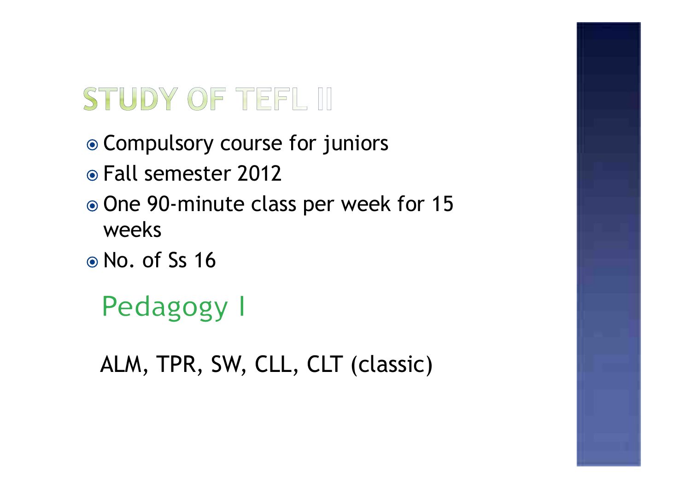# STUDY OF TEFL III

- Compulsory course for juniors
- Fall semester 2012
- One 90-minute class per week for 15 weeks
- No. of Ss 16

# Pedagogy I

ALM, TPR, SW, CLL, CLT (classic)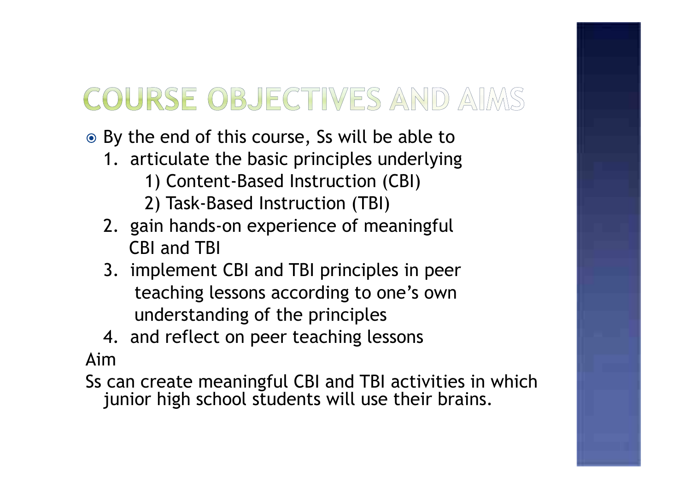# COURSE OBJECTIVES AND AIMS

- **■** By the end of this course, Ss will be able to
	- 1. articulate the basic principles underlying
		- 1) Content-Based Instruction (CBI)
		- 2) Task-Based Instruction (TBI)
	- 2. gain hands-on experience of meaningful CBI and TBI
	- 3. implement CBI and TBI principles in peer teaching lessons according to one's own understanding of the principles
- 4. and reflect on peer teaching lessons Aim

Ss can create meaningful CBI and TBI activities in which junior high school students will use their brains.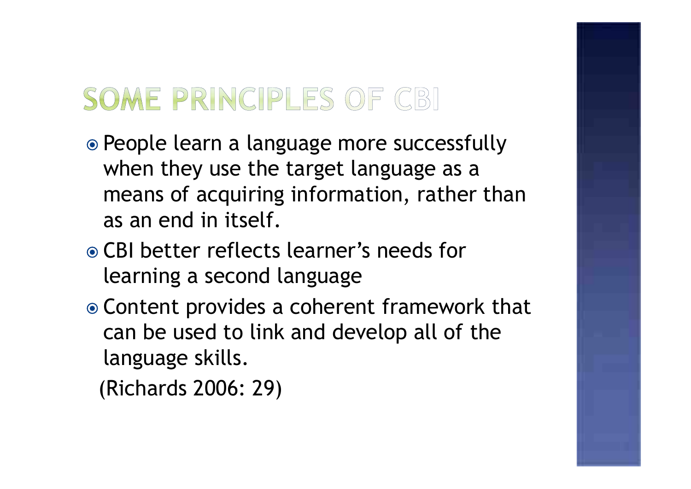# SOME PRINCIPLES OF CBI

- People learn a language more successfully when they use the target language as a means of acquiring information, rather than as an end in itself.
- CBI better reflects learner's needs for learning a second language
- Content provides a coherent framework that can be used to link and develop all of the language skills.
	- (Richards 2006: 29)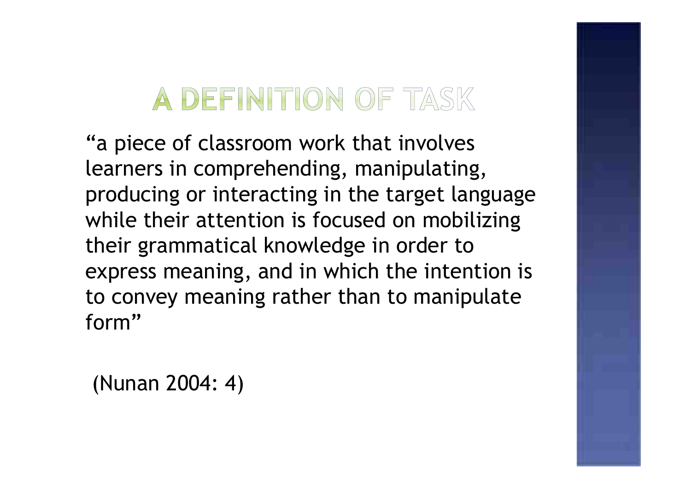# A DEFINITION OF TASK

"a piece of classroom work that involves learners in comprehending, manipulating, producing or interacting in the target language while their attention is focused on mobilizing their grammatical knowledge in order to express meaning, and in which the intention is to convey meaning rather than to manipulate form"

(Nunan 2004: 4)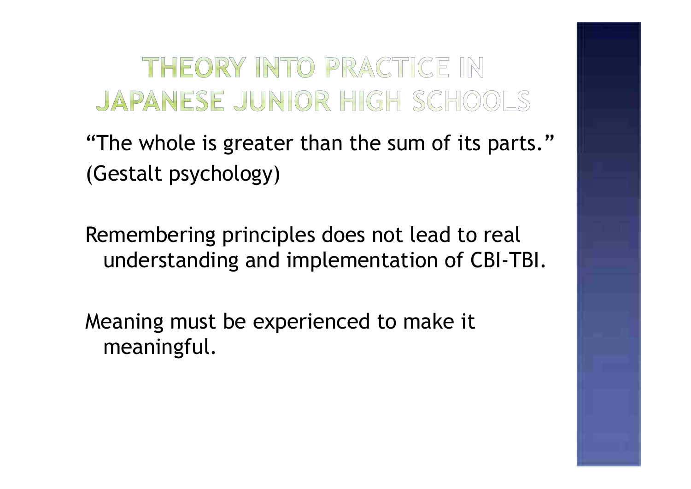#### THEORY INTO PRACTICE IN JAPANESE JUNIOR HIGH SCHOOLS

"The whole is greater than the sum of its parts." (Gestalt psychology)

Remembering principles does not lead to real understanding and implementation of CBI-TBI.

Meaning must be experienced to make it meaningful.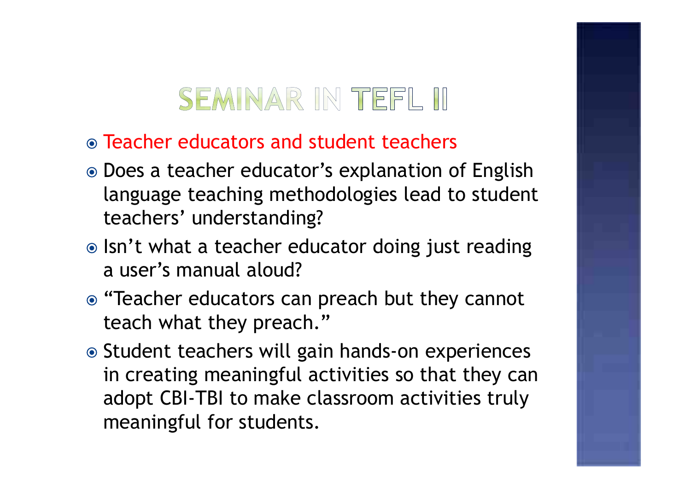# SEMINAR IN TEFL III

- Teacher educators and student teachers
- Does a teacher educator's explanation of English language teaching methodologies lead to student teachers' understanding?
- Isn't what a teacher educator doing just reading a user's manual aloud?
- "Teacher educators can preach but they cannot teach what they preach."
- Student teachers will gain hands-on experiences in creating meaningful activities so that they can adopt CBI-TBI to make classroom activities truly meaningful for students.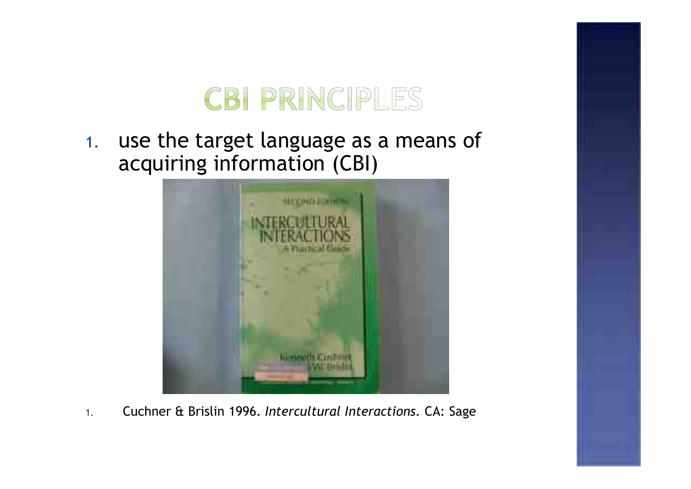

1. use the target language as a means of acquiring information (CBI)



1. Cuchner & Brislin 1996. *Intercultural Interactions.* CA: Sage

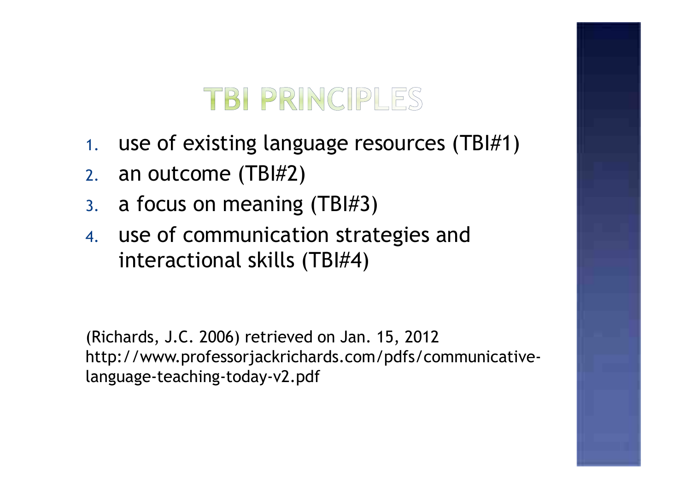### TBI PRINCIPLES

- 1. use of existing language resources (TBI#1)
- 2. an outcome (TBI#2)
- 3. a focus on meaning (TBI#3)
- 4. use of communication strategies and interactional skills (TBI#4)

(Richards, J.C. 2006) retrieved on Jan. 15, 2012 http://www.professorjackrichards.com/pdfs/communicativelanguage-teaching-today-v2.pdf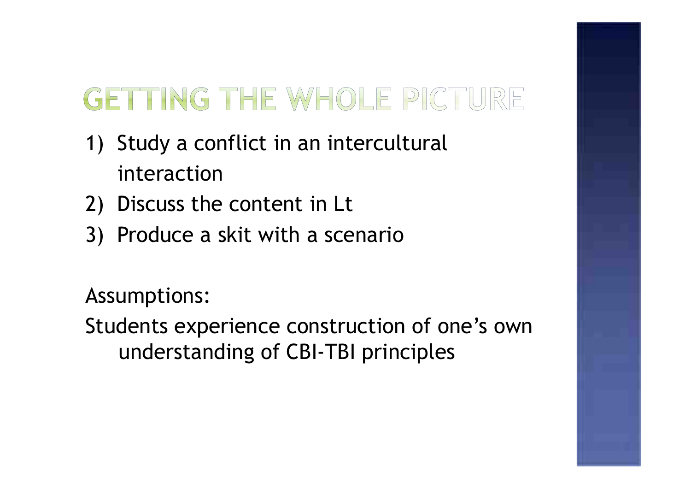# GETTING THE WHOLE PICTURE

- 1) Study a conflict in an intercultural interaction
- 2) Discuss the content in Lt
- 3) Produce a skit with a scenario

Assumptions:

Students experience construction of one's own understanding of CBI-TBI principles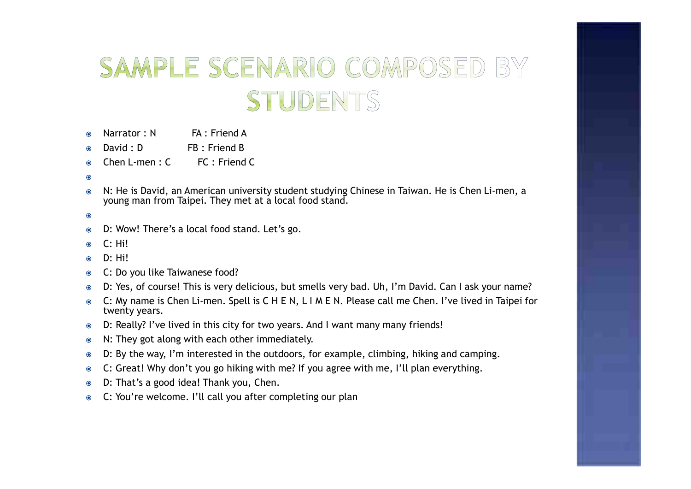#### SAMPLE SCENARIO COMPOSED BY STUDENTS

- $Narrator \cdot N$   $FA \cdot Friend A$  $\odot$
- David : D FB : Friend B  $\odot$
- Chen L-men :  $C = FC$  : Friend C  $\odot$
- $\odot$
- N: He is David, an American university student studying Chinese in Taiwan. He is Chen Li-men, a  $\odot$ young man from Taipei. They met at a local food stand.
- $\odot$
- D: Wow! There's a local food stand. Let's go.  $\odot$
- $C \cdot H$ i!  $\odot$
- D: Hi!  $\odot$
- C: Do you like Taiwanese food?  $\odot$
- D: Yes, of course! This is very delicious, but smells very bad. Uh, I'm David. Can I ask your name?  $\odot$
- C: My name is Chen Li-men. Spell is C H E N, L I M E N. Please call me Chen. I've lived in Taipei for  $\bullet$ twenty years.
- D: Really? I've lived in this city for two years. And I want many many friends!  $\bullet$
- N: They got along with each other immediately.  $\bullet$
- D: By the way, I'm interested in the outdoors, for example, climbing, hiking and camping.  $\odot$
- C: Great! Why don't you go hiking with me? If you agree with me, I'll plan everything.  $\bullet$
- D: That's a good idea! Thank you, Chen.  $\bullet$
- C: You're welcome. I'll call you after completing our plan $\odot$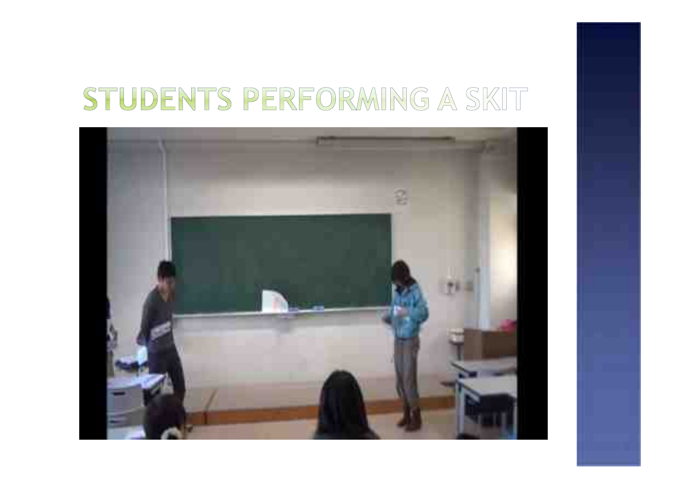# STUDENTS PERFORMING A SKIT

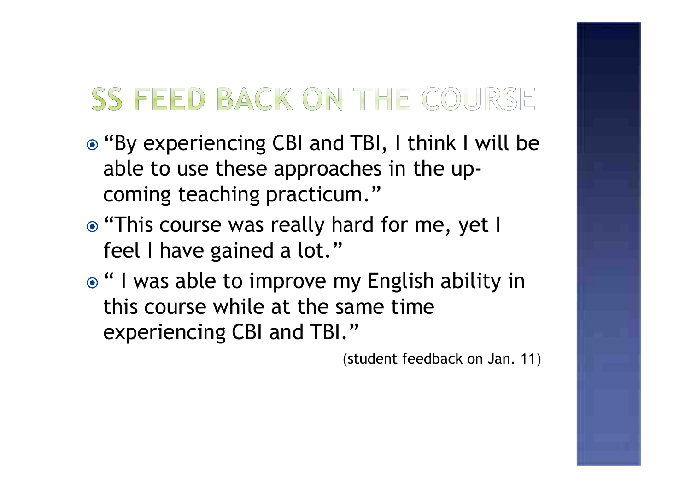# SS FEED BACK ON THE COURSE

- "By experiencing CBI and TBI, I think I will be able to use these approaches in the upcoming teaching practicum."
- **.** "This course was really hard for me, yet I feel I have gained a lot."
- **■** " I was able to improve my English ability in this course while at the same time experiencing CBI and TBI."

(student feedback on Jan. 11)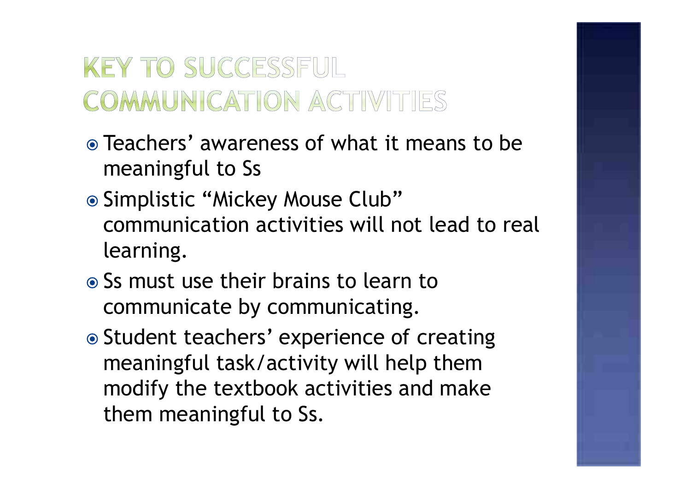### **KEY TO SUCCESSFUL** COMMUNICATION ACTIVITIES

- Teachers' awareness of what it means to be meaningful to Ss
- Simplistic "Mickey Mouse Club" communication activities will not lead to real learning.
- Ss must use their brains to learn to communicate by communicating.
- Student teachers' experience of creating meaningful task/activity will help them modify the textbook activities and make them meaningful to Ss.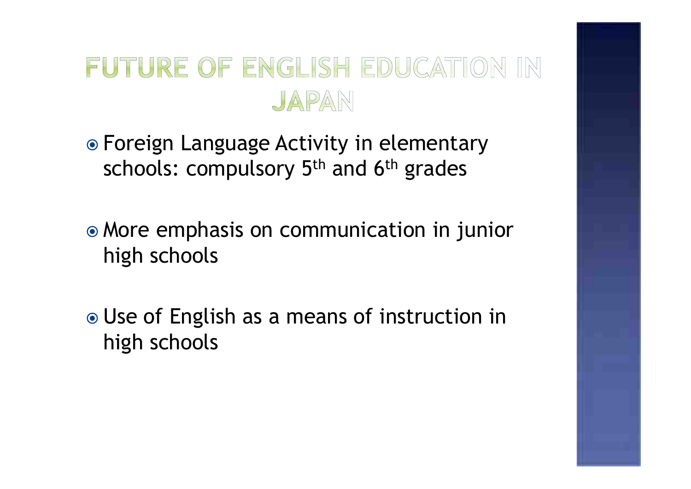#### FUTURE OF ENGLISH EDUCATION IN JAPAN

Foreign Language Activity in elementary schools: compulsory 5<sup>th</sup> and 6<sup>th</sup> grades

More emphasis on communication in junior high schools

Use of English as a means of instruction in high schools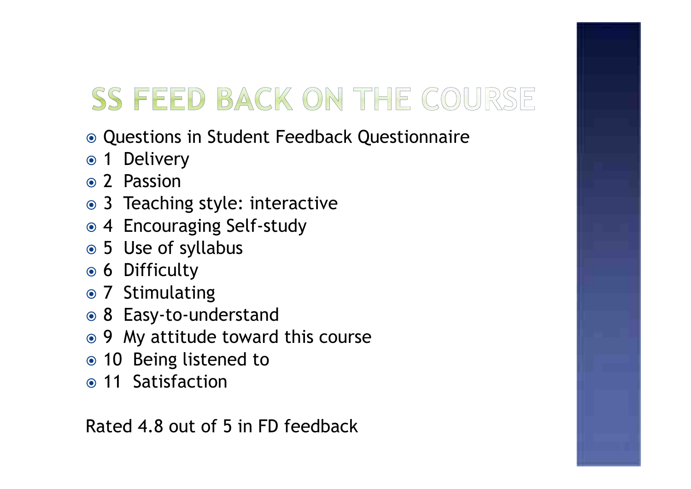# SS FEED BACK ON THE COURSE

- Questions in Student Feedback Questionnaire
- 1 Delivery
- Passion
- Teaching style: interactive
- Encouraging Self-study
- Use of syllabus
- Difficulty
- Stimulating
- Easy-to-understand
- My attitude toward this course
- Being listened to
- 11 Satisfaction

Rated 4.8 out of 5 in FD feedback